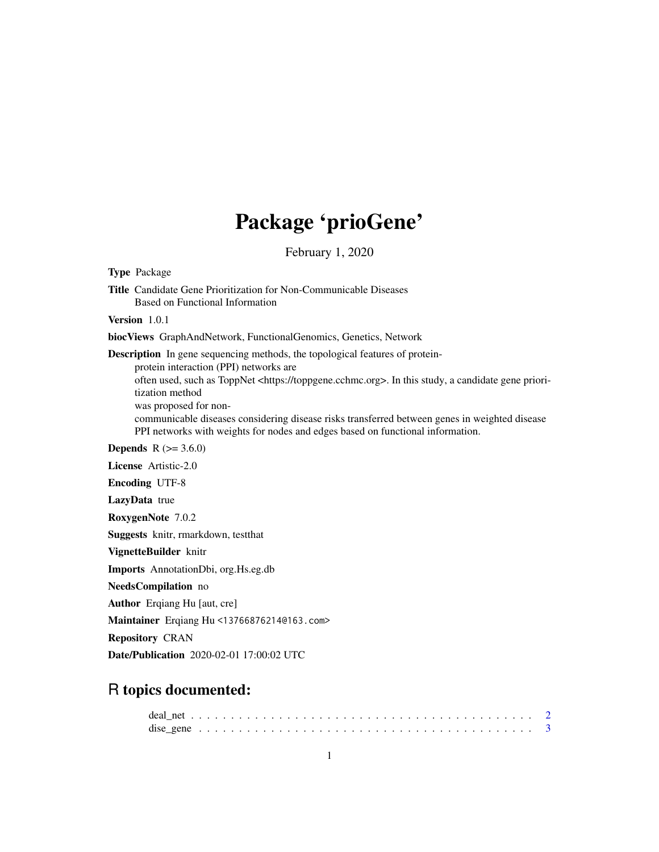## Package 'prioGene'

February 1, 2020

Type Package Title Candidate Gene Prioritization for Non-Communicable Diseases Based on Functional Information Version 1.0.1 biocViews GraphAndNetwork, FunctionalGenomics, Genetics, Network Description In gene sequencing methods, the topological features of proteinprotein interaction (PPI) networks are often used, such as ToppNet <https://toppgene.cchmc.org>. In this study, a candidate gene prioritization method was proposed for noncommunicable diseases considering disease risks transferred between genes in weighted disease PPI networks with weights for nodes and edges based on functional information. **Depends** R  $(>= 3.6.0)$ License Artistic-2.0 Encoding UTF-8 LazyData true RoxygenNote 7.0.2 Suggests knitr, rmarkdown, testthat VignetteBuilder knitr Imports AnnotationDbi, org.Hs.eg.db NeedsCompilation no Author Erqiang Hu [aut, cre] Maintainer Erqiang Hu <13766876214@163.com>

Repository CRAN

Date/Publication 2020-02-01 17:00:02 UTC

## R topics documented: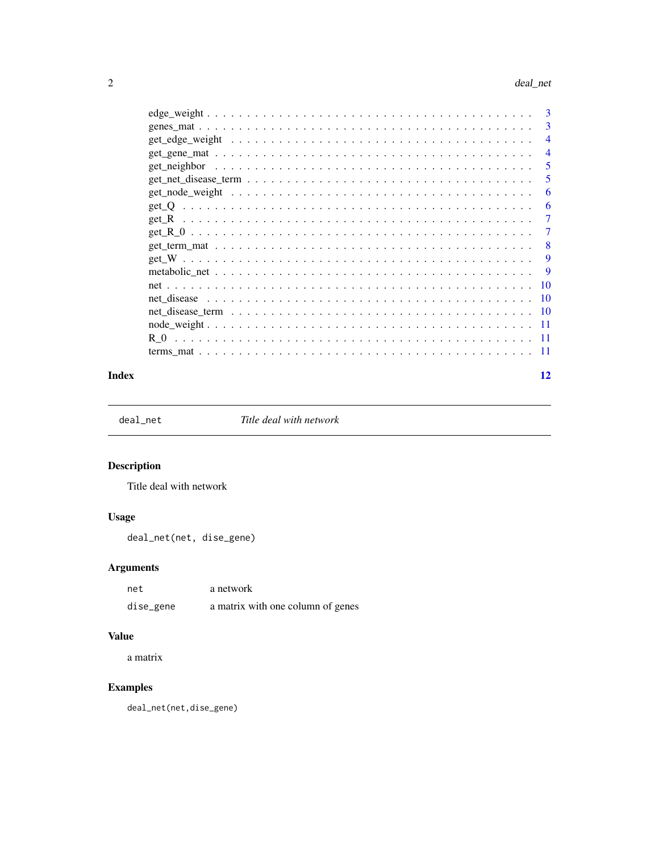#### <span id="page-1-0"></span>2 deal\_net

|  |  |  |  |  |  |  |  |  |  |  |  |  |  |  | 3   |
|--|--|--|--|--|--|--|--|--|--|--|--|--|--|--|-----|
|  |  |  |  |  |  |  |  |  |  |  |  |  |  |  | 3   |
|  |  |  |  |  |  |  |  |  |  |  |  |  |  |  | 4   |
|  |  |  |  |  |  |  |  |  |  |  |  |  |  |  | 4   |
|  |  |  |  |  |  |  |  |  |  |  |  |  |  |  | 5   |
|  |  |  |  |  |  |  |  |  |  |  |  |  |  |  | 5   |
|  |  |  |  |  |  |  |  |  |  |  |  |  |  |  | 6   |
|  |  |  |  |  |  |  |  |  |  |  |  |  |  |  | 6   |
|  |  |  |  |  |  |  |  |  |  |  |  |  |  |  | 7   |
|  |  |  |  |  |  |  |  |  |  |  |  |  |  |  | 7   |
|  |  |  |  |  |  |  |  |  |  |  |  |  |  |  | 8   |
|  |  |  |  |  |  |  |  |  |  |  |  |  |  |  | 9   |
|  |  |  |  |  |  |  |  |  |  |  |  |  |  |  | 9   |
|  |  |  |  |  |  |  |  |  |  |  |  |  |  |  | 10  |
|  |  |  |  |  |  |  |  |  |  |  |  |  |  |  | 10  |
|  |  |  |  |  |  |  |  |  |  |  |  |  |  |  | -10 |
|  |  |  |  |  |  |  |  |  |  |  |  |  |  |  | -11 |
|  |  |  |  |  |  |  |  |  |  |  |  |  |  |  | -11 |
|  |  |  |  |  |  |  |  |  |  |  |  |  |  |  | -11 |
|  |  |  |  |  |  |  |  |  |  |  |  |  |  |  |     |

#### **Index** [12](#page-11-0)

deal\_net *Title deal with network*

## Description

Title deal with network

## Usage

deal\_net(net, dise\_gene)

### Arguments

| net       | a network                         |
|-----------|-----------------------------------|
| dise_gene | a matrix with one column of genes |

#### Value

a matrix

## Examples

deal\_net(net,dise\_gene)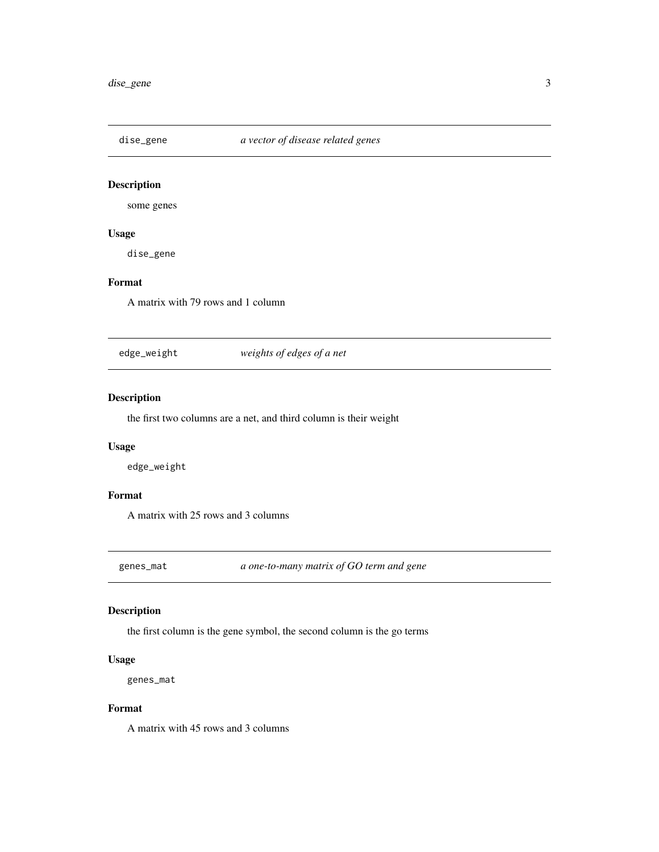<span id="page-2-0"></span>

#### Description

some genes

#### Usage

dise\_gene

#### Format

A matrix with 79 rows and 1 column

edge\_weight *weights of edges of a net*

#### Description

the first two columns are a net, and third column is their weight

#### Usage

edge\_weight

#### Format

A matrix with 25 rows and 3 columns

genes\_mat *a one-to-many matrix of GO term and gene*

#### Description

the first column is the gene symbol, the second column is the go terms

#### Usage

genes\_mat

#### Format

A matrix with 45 rows and 3 columns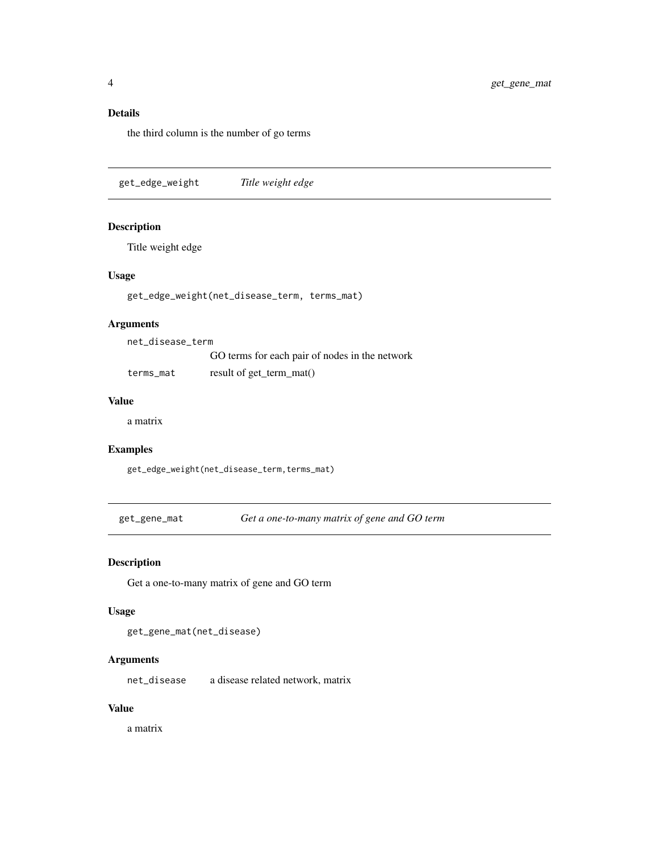#### <span id="page-3-0"></span>Details

the third column is the number of go terms

get\_edge\_weight *Title weight edge*

#### Description

Title weight edge

#### Usage

get\_edge\_weight(net\_disease\_term, terms\_mat)

#### Arguments

| net_disease_term |                                                |  |  |  |  |  |  |  |  |  |
|------------------|------------------------------------------------|--|--|--|--|--|--|--|--|--|
|                  | GO terms for each pair of nodes in the network |  |  |  |  |  |  |  |  |  |
| terms mat        | result of get_term_mat()                       |  |  |  |  |  |  |  |  |  |

#### Value

a matrix

#### Examples

get\_edge\_weight(net\_disease\_term,terms\_mat)

get\_gene\_mat *Get a one-to-many matrix of gene and GO term*

#### Description

Get a one-to-many matrix of gene and GO term

#### Usage

get\_gene\_mat(net\_disease)

#### Arguments

net\_disease a disease related network, matrix

#### Value

a matrix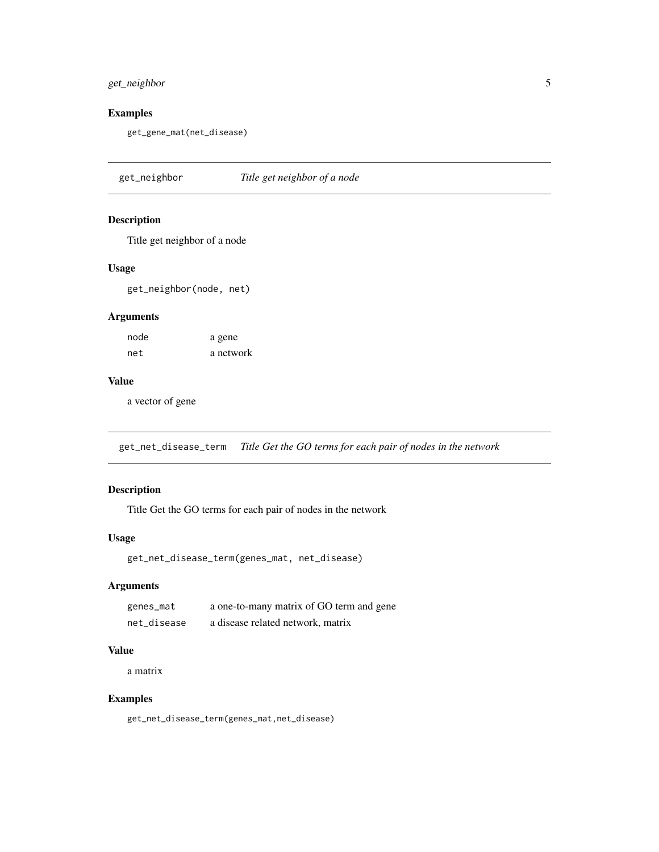#### <span id="page-4-0"></span>get\_neighbor 5

#### Examples

get\_gene\_mat(net\_disease)

get\_neighbor *Title get neighbor of a node*

#### Description

Title get neighbor of a node

#### Usage

get\_neighbor(node, net)

#### Arguments

node a gene net a network

#### Value

a vector of gene

get\_net\_disease\_term *Title Get the GO terms for each pair of nodes in the network*

#### Description

Title Get the GO terms for each pair of nodes in the network

#### Usage

```
get_net_disease_term(genes_mat, net_disease)
```
#### Arguments

| genes_mat   | a one-to-many matrix of GO term and gene |
|-------------|------------------------------------------|
| net_disease | a disease related network, matrix        |

#### Value

a matrix

#### Examples

get\_net\_disease\_term(genes\_mat,net\_disease)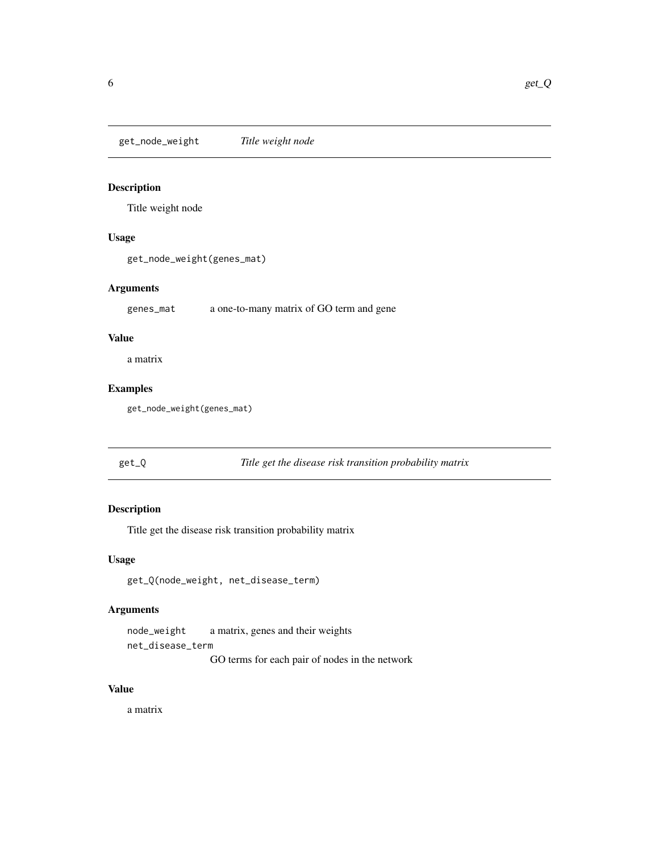<span id="page-5-0"></span>get\_node\_weight *Title weight node*

#### Description

Title weight node

#### Usage

get\_node\_weight(genes\_mat)

#### Arguments

genes\_mat a one-to-many matrix of GO term and gene

#### Value

a matrix

#### Examples

get\_node\_weight(genes\_mat)

get\_Q *Title get the disease risk transition probability matrix*

#### Description

Title get the disease risk transition probability matrix

#### Usage

get\_Q(node\_weight, net\_disease\_term)

#### Arguments

node\_weight a matrix, genes and their weights net\_disease\_term GO terms for each pair of nodes in the network

Value

a matrix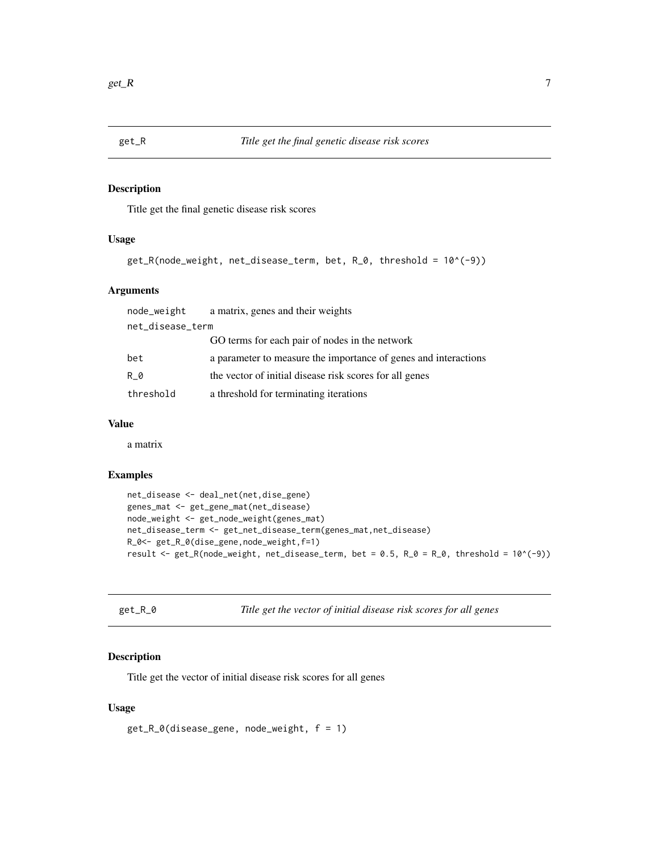#### <span id="page-6-0"></span>Description

Title get the final genetic disease risk scores

#### Usage

```
get_R(node_weight, net_disease_term, bet, R_0, threshold = 10^(-9))
```
#### Arguments

| node_weight      | a matrix, genes and their weights                               |
|------------------|-----------------------------------------------------------------|
| net_disease_term |                                                                 |
|                  | GO terms for each pair of nodes in the network                  |
| bet              | a parameter to measure the importance of genes and interactions |
| R 0              | the vector of initial disease risk scores for all genes         |
| threshold        | a threshold for terminating iterations                          |

#### Value

a matrix

#### Examples

```
net_disease <- deal_net(net,dise_gene)
genes_mat <- get_gene_mat(net_disease)
node_weight <- get_node_weight(genes_mat)
net_disease_term <- get_net_disease_term(genes_mat,net_disease)
R_0<- get_R_0(dise_gene,node_weight,f=1)
result \le get_R(node_weight, net_disease_term, bet = 0.5, R_0 = R_0, threshold = 10^(-9))
```

| λ<br>$\sigma$ |  |
|---------------|--|
|---------------|--|

Title get the vector of initial disease risk scores for all genes

#### Description

Title get the vector of initial disease risk scores for all genes

#### Usage

```
get_R_0(disease_gene, node_weight, f = 1)
```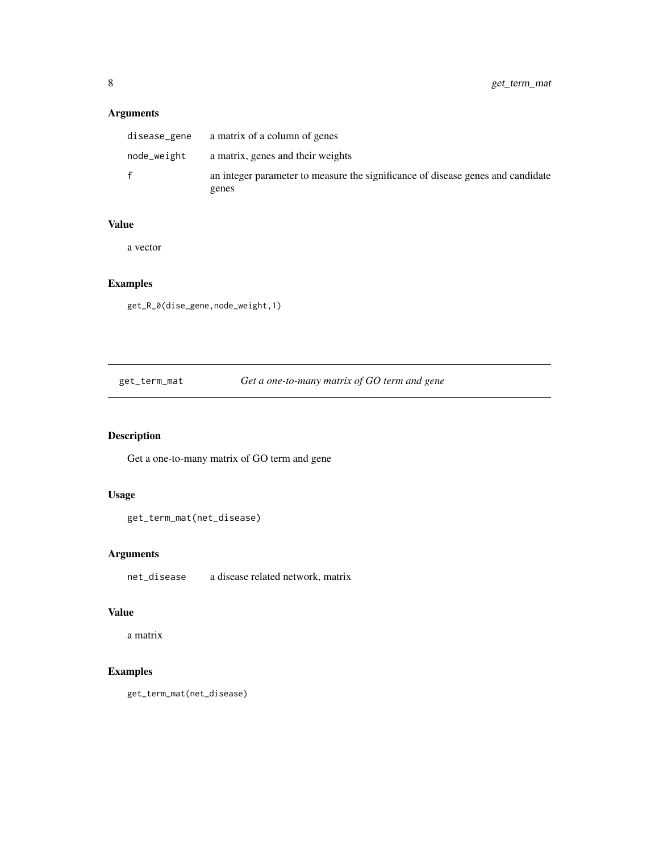#### <span id="page-7-0"></span>Arguments

|             | disease_gene a matrix of a column of genes                                               |
|-------------|------------------------------------------------------------------------------------------|
| node_weight | a matrix, genes and their weights                                                        |
| f           | an integer parameter to measure the significance of disease genes and candidate<br>genes |
|             |                                                                                          |

#### Value

a vector

#### Examples

get\_R\_0(dise\_gene,node\_weight,1)

get\_term\_mat *Get a one-to-many matrix of GO term and gene*

#### Description

Get a one-to-many matrix of GO term and gene

#### Usage

```
get_term_mat(net_disease)
```
#### Arguments

net\_disease a disease related network, matrix

#### Value

a matrix

#### Examples

get\_term\_mat(net\_disease)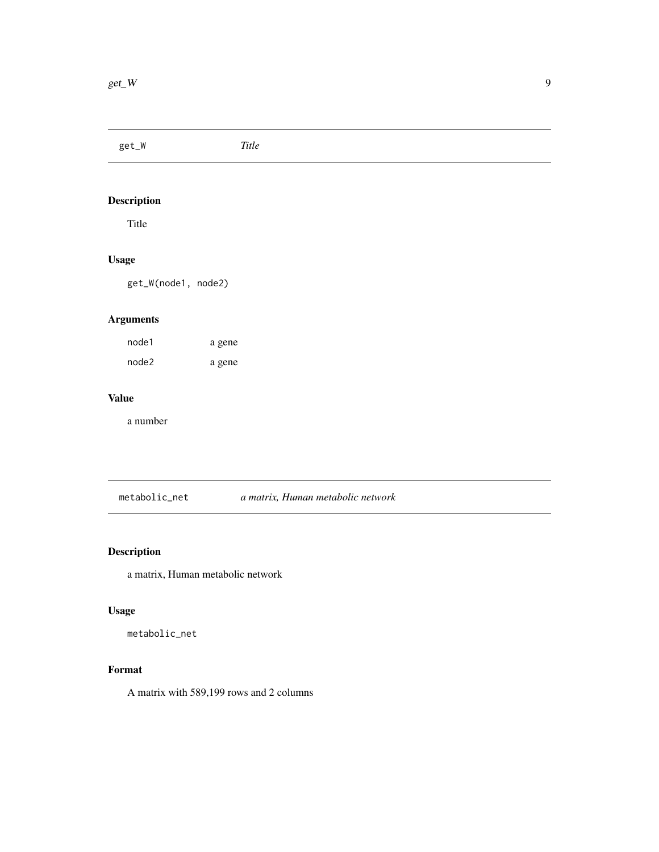<span id="page-8-0"></span>get\_W *Title* Description Title Usage get\_W(node1, node2) Arguments node1 a gene node2 a gene Value a number

metabolic\_net *a matrix, Human metabolic network*

#### Description

a matrix, Human metabolic network

#### Usage

metabolic\_net

#### Format

A matrix with 589,199 rows and 2 columns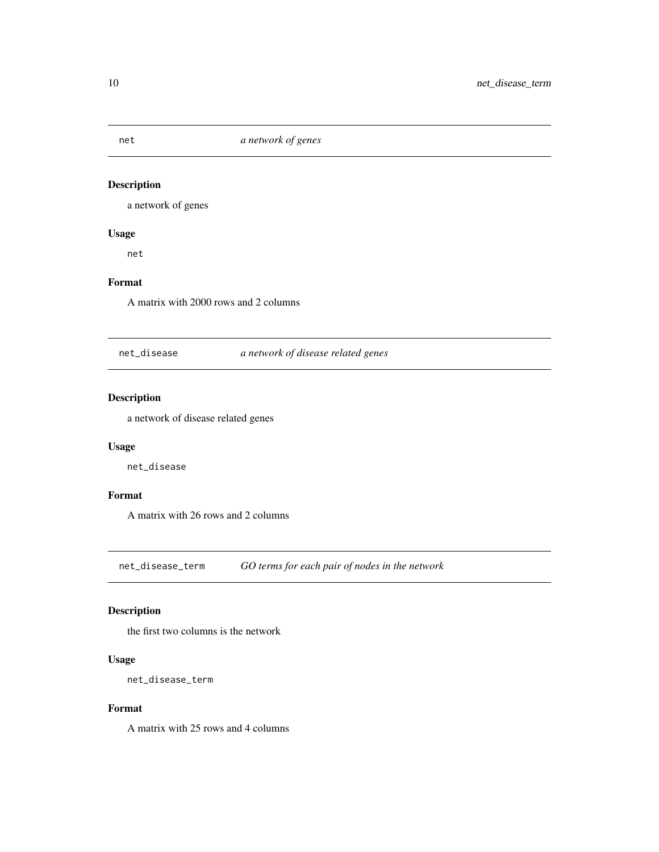<span id="page-9-0"></span>

#### Description

a network of genes

#### Usage

net

#### Format

A matrix with 2000 rows and 2 columns

net\_disease *a network of disease related genes*

#### Description

a network of disease related genes

#### Usage

net\_disease

#### Format

A matrix with 26 rows and 2 columns

net\_disease\_term *GO terms for each pair of nodes in the network*

#### Description

the first two columns is the network

#### Usage

net\_disease\_term

#### Format

A matrix with 25 rows and 4 columns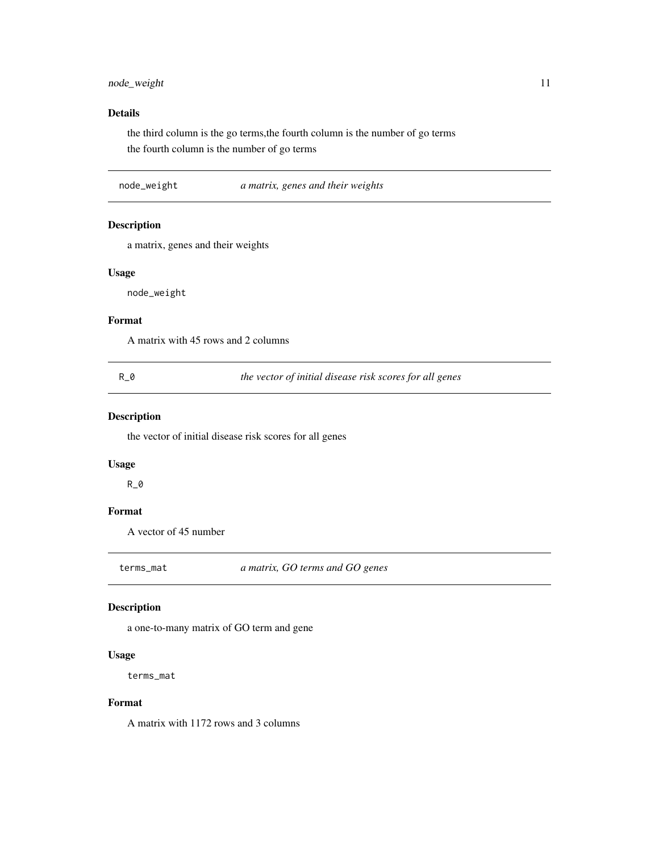#### <span id="page-10-0"></span>node\_weight 11

#### Details

the third column is the go terms,the fourth column is the number of go terms the fourth column is the number of go terms

node\_weight *a matrix, genes and their weights*

#### Description

a matrix, genes and their weights

#### Usage

node\_weight

#### Format

A matrix with 45 rows and 2 columns

R\_0 *the vector of initial disease risk scores for all genes*

#### Description

the vector of initial disease risk scores for all genes

#### Usage

R\_0

#### Format

A vector of 45 number

terms\_mat *a matrix, GO terms and GO genes*

#### Description

a one-to-many matrix of GO term and gene

#### Usage

terms\_mat

#### Format

A matrix with 1172 rows and 3 columns